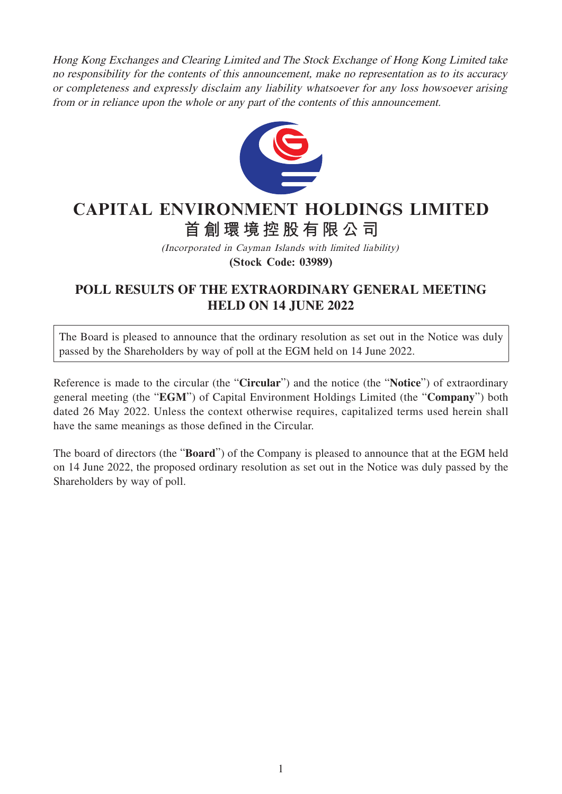Hong Kong Exchanges and Clearing Limited and The Stock Exchange of Hong Kong Limited take no responsibility for the contents of this announcement, make no representation as to its accuracy or completeness and expressly disclaim any liability whatsoever for any loss howsoever arising from or in reliance upon the whole or any part of the contents of this announcement.



## **CAPITAL ENVIRONMENT HOLDINGS LIMITED 首創環境控股有限公司**

(Incorporated in Cayman Islands with limited liability) **(Stock Code: 03989)**

## **POLL RESULTS OF THE EXTRAORDINARY GENERAL MEETING HELD ON 14 JUNE 2022**

The Board is pleased to announce that the ordinary resolution as set out in the Notice was duly passed by the Shareholders by way of poll at the EGM held on 14 June 2022.

Reference is made to the circular (the "**Circular**") and the notice (the "**Notice**") of extraordinary general meeting (the "**EGM**") of Capital Environment Holdings Limited (the "**Company**") both dated 26 May 2022. Unless the context otherwise requires, capitalized terms used herein shall have the same meanings as those defined in the Circular.

The board of directors (the "**Board**") of the Company is pleased to announce that at the EGM held on 14 June 2022, the proposed ordinary resolution as set out in the Notice was duly passed by the Shareholders by way of poll.